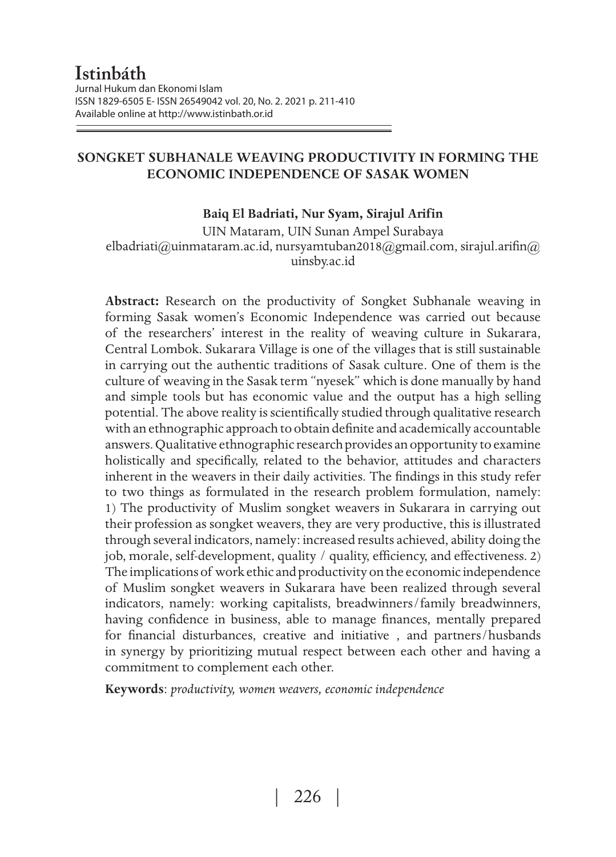## **SONGKET SUBHANALE WEAVING PRODUCTIVITY IN FORMING THE ECONOMIC INDEPENDENCE OF SASAK WOMEN**

### **Baiq El Badriati, Nur Syam, Sirajul Arifin**

UIN Mataram, UIN Sunan Ampel Surabaya elbadriati@uinmataram.ac.id, nursyamtuban2018@gmail.com, sirajul.arifin@ uinsby.ac.id

**Abstract:** Research on the productivity of Songket Subhanale weaving in forming Sasak women's Economic Independence was carried out because of the researchers' interest in the reality of weaving culture in Sukarara, Central Lombok. Sukarara Village is one of the villages that is still sustainable in carrying out the authentic traditions of Sasak culture. One of them is the culture of weaving in the Sasak term "nyesek" which is done manually by hand and simple tools but has economic value and the output has a high selling potential. The above reality is scientifically studied through qualitative research with an ethnographic approach to obtain definite and academically accountable answers. Qualitative ethnographic research provides an opportunity to examine holistically and specifically, related to the behavior, attitudes and characters inherent in the weavers in their daily activities. The findings in this study refer to two things as formulated in the research problem formulation, namely: 1) The productivity of Muslim songket weavers in Sukarara in carrying out their profession as songket weavers, they are very productive, this is illustrated through several indicators, namely: increased results achieved, ability doing the job, morale, self-development, quality / quality, efficiency, and effectiveness. 2) The implications of work ethic and productivity on the economic independence of Muslim songket weavers in Sukarara have been realized through several indicators, namely: working capitalists, breadwinners/family breadwinners, having confidence in business, able to manage finances, mentally prepared for financial disturbances, creative and initiative , and partners/husbands in synergy by prioritizing mutual respect between each other and having a commitment to complement each other.

**Keywords**: *productivity, women weavers, economic independence*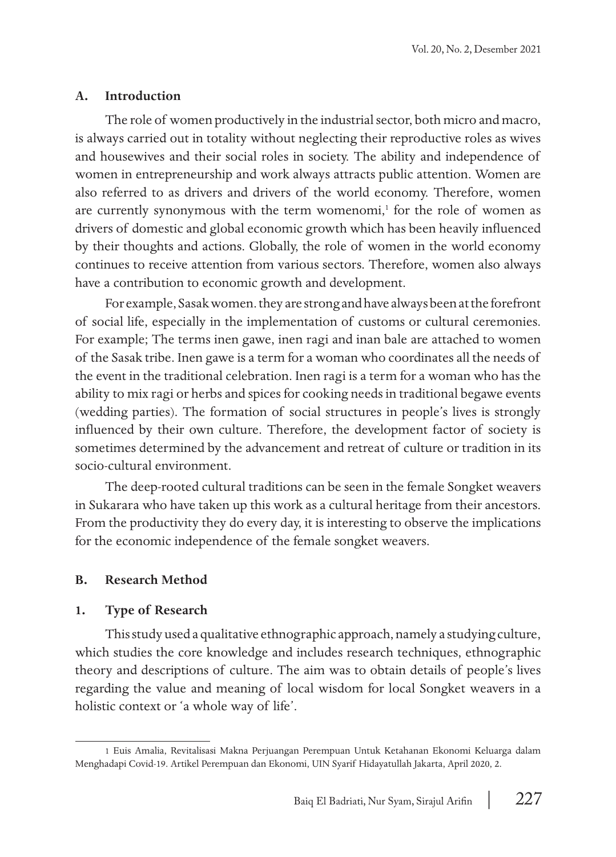### **A. Introduction**

The role of women productively in the industrial sector, both micro and macro, is always carried out in totality without neglecting their reproductive roles as wives and housewives and their social roles in society. The ability and independence of women in entrepreneurship and work always attracts public attention. Women are also referred to as drivers and drivers of the world economy. Therefore, women are currently synonymous with the term womenomi,<sup>1</sup> for the role of women as drivers of domestic and global economic growth which has been heavily influenced by their thoughts and actions. Globally, the role of women in the world economy continues to receive attention from various sectors. Therefore, women also always have a contribution to economic growth and development.

For example, Sasak women. they are strong and have always been at the forefront of social life, especially in the implementation of customs or cultural ceremonies. For example; The terms inen gawe, inen ragi and inan bale are attached to women of the Sasak tribe. Inen gawe is a term for a woman who coordinates all the needs of the event in the traditional celebration. Inen ragi is a term for a woman who has the ability to mix ragi or herbs and spices for cooking needs in traditional begawe events (wedding parties). The formation of social structures in people's lives is strongly influenced by their own culture. Therefore, the development factor of society is sometimes determined by the advancement and retreat of culture or tradition in its socio-cultural environment.

The deep-rooted cultural traditions can be seen in the female Songket weavers in Sukarara who have taken up this work as a cultural heritage from their ancestors. From the productivity they do every day, it is interesting to observe the implications for the economic independence of the female songket weavers.

### **B. Research Method**

#### **1. Type of Research**

This study used a qualitative ethnographic approach, namely a studying culture, which studies the core knowledge and includes research techniques, ethnographic theory and descriptions of culture. The aim was to obtain details of people's lives regarding the value and meaning of local wisdom for local Songket weavers in a holistic context or 'a whole way of life'.

<sup>1</sup> Euis Amalia, Revitalisasi Makna Perjuangan Perempuan Untuk Ketahanan Ekonomi Keluarga dalam Menghadapi Covid-19. Artikel Perempuan dan Ekonomi, UIN Syarif Hidayatullah Jakarta, April 2020, 2.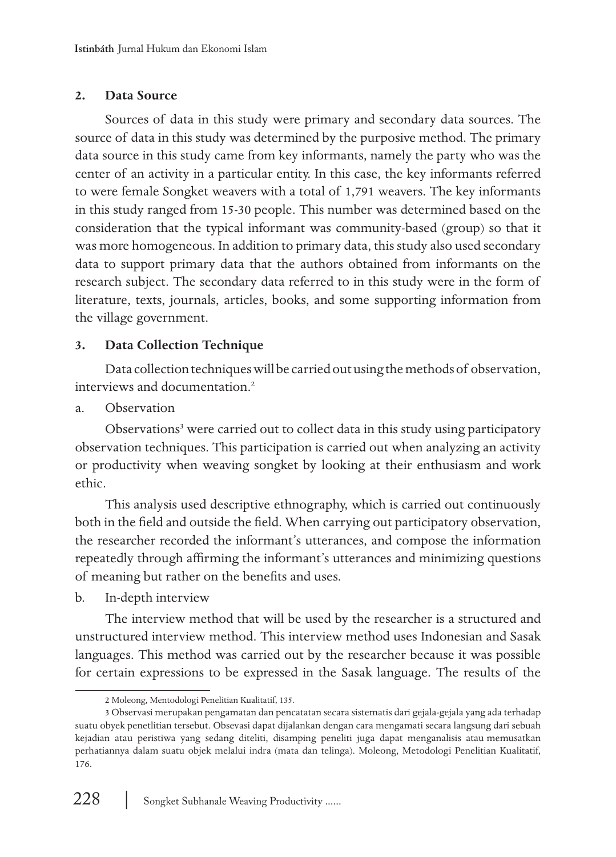## **2. Data Source**

Sources of data in this study were primary and secondary data sources. The source of data in this study was determined by the purposive method. The primary data source in this study came from key informants, namely the party who was the center of an activity in a particular entity. In this case, the key informants referred to were female Songket weavers with a total of 1,791 weavers. The key informants in this study ranged from 15-30 people. This number was determined based on the consideration that the typical informant was community-based (group) so that it was more homogeneous. In addition to primary data, this study also used secondary data to support primary data that the authors obtained from informants on the research subject. The secondary data referred to in this study were in the form of literature, texts, journals, articles, books, and some supporting information from the village government.

## **3. Data Collection Technique**

Data collection techniques will be carried out using the methods of observation, interviews and documentation.2

a. Observation

Observations<sup>3</sup> were carried out to collect data in this study using participatory observation techniques. This participation is carried out when analyzing an activity or productivity when weaving songket by looking at their enthusiasm and work ethic.

This analysis used descriptive ethnography, which is carried out continuously both in the field and outside the field. When carrying out participatory observation, the researcher recorded the informant's utterances, and compose the information repeatedly through affirming the informant's utterances and minimizing questions of meaning but rather on the benefits and uses.

b. In-depth interview

The interview method that will be used by the researcher is a structured and unstructured interview method. This interview method uses Indonesian and Sasak languages. This method was carried out by the researcher because it was possible for certain expressions to be expressed in the Sasak language. The results of the

<sup>2</sup> Moleong, Mentodologi Penelitian Kualitatif, 135.

<sup>3</sup> Observasi merupakan pengamatan dan pencatatan secara sistematis dari gejala-gejala yang ada terhadap suatu obyek penetlitian tersebut. Obsevasi dapat dijalankan dengan cara mengamati secara langsung dari sebuah kejadian atau peristiwa yang sedang diteliti, disamping peneliti juga dapat menganalisis atau memusatkan perhatiannya dalam suatu objek melalui indra (mata dan telinga). Moleong, Metodologi Penelitian Kualitatif, 176.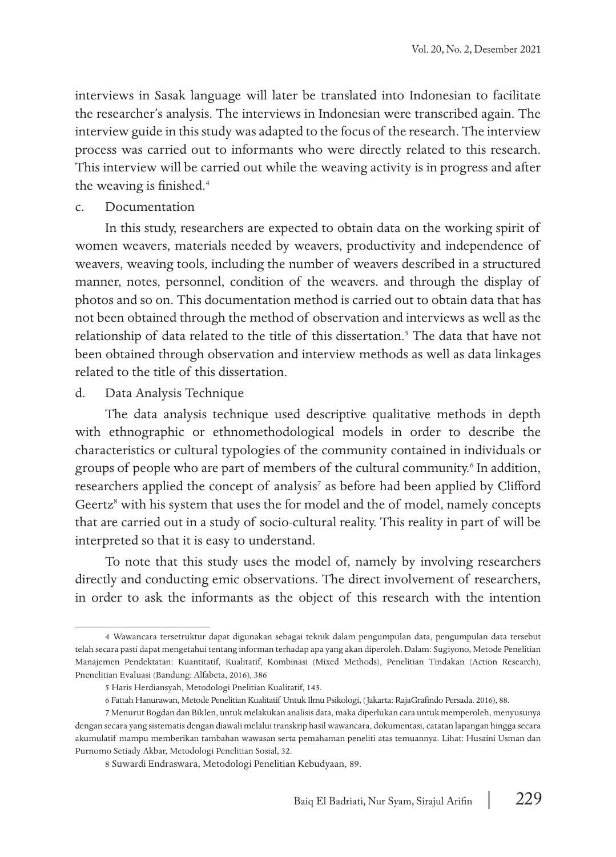interviews in Sasak language will later be translated into Indonesian to facilitate the researcher's analysis. The interviews in Indonesian were transcribed again. The interview guide in this study was adapted to the focus of the research. The interview process was carried out to informants who were directly related to this research. This interview will be carried out while the weaving activity is in progress and after the weaving is finished.<sup>4</sup>

#### c. Documentation

In this study, researchers are expected to obtain data on the working spirit of women weavers, materials needed by weavers, productivity and independence of weavers, weaving tools, including the number of weavers described in a structured manner, notes, personnel, condition of the weavers. and through the display of photos and so on. This documentation method is carried out to obtain data that has not been obtained through the method of observation and interviews as well as the relationship of data related to the title of this dissertation.<sup>5</sup> The data that have not been obtained through observation and interview methods as well as data linkages related to the title of this dissertation.

### d. Data Analysis Technique

The data analysis technique used descriptive qualitative methods in depth with ethnographic or ethnomethodological models in order to describe the characteristics or cultural typologies of the community contained in individuals or groups of people who are part of members of the cultural community.<sup>6</sup> In addition, researchers applied the concept of analysis<sup>7</sup> as before had been applied by Clifford Geertz<sup>8</sup> with his system that uses the for model and the of model, namely concepts that are carried out in a study of socio-cultural reality. This reality in part of will be interpreted so that it is easy to understand.

To note that this study uses the model of, namely by involving researchers directly and conducting emic observations. The direct involvement of researchers, in order to ask the informants as the object of this research with the intention

<sup>4</sup> Wawancara tersetruktur dapat digunakan sebagai teknik dalam pengumpulan data, pengumpulan data tersebut telah secara pasti dapat mengetahui tentang informan terhadap apa yang akan diperoleh. Dalam: Sugiyono, Metode Penelitian Manajemen Pendektatan: Kuantitatif, Kualitatif, Kombinasi (Mixed Methods), Penelitian Tindakan (Action Research), Pnenelitian Evaluasi (Bandung: Alfabeta, 2016), 386

<sup>5</sup> Haris Herdiansyah, Metodologi Pnelitian Kualitatif, 143.

<sup>6</sup> Fattah Hanurawan, Metode Penelitian Kualitatif Untuk Ilmu Psikologi, (Jakarta: RajaGrafindo Persada. 2016), 88.

<sup>7</sup> Menurut Bogdan dan Biklen, untuk melakukan analisis data, maka diperlukan cara untuk memperoleh, menyusunya dengan secara yang sistematis dengan diawali melalui transkrip hasil wawancara, dokumentasi, catatan lapangan hingga secara akumulatif mampu memberikan tambahan wawasan serta pemahaman peneliti atas temuannya. Lihat: Husaini Usman dan Purnomo Setiady Akbar, Metodologi Penelitian Sosial, 32.

<sup>8</sup> Suwardi Endraswara, Metodologi Penelitian Kebudyaan, 89.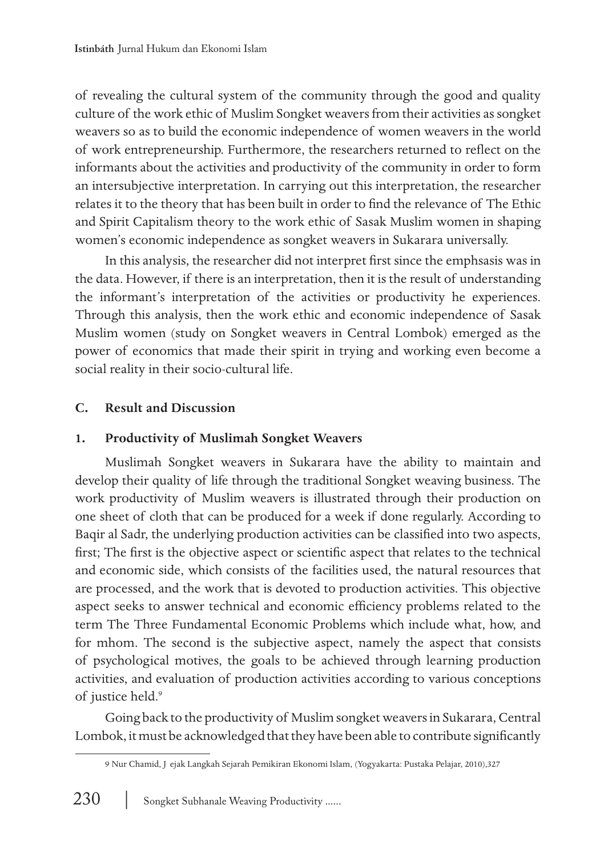of revealing the cultural system of the community through the good and quality culture of the work ethic of Muslim Songket weavers from their activities as songket weavers so as to build the economic independence of women weavers in the world of work entrepreneurship. Furthermore, the researchers returned to reflect on the informants about the activities and productivity of the community in order to form an intersubjective interpretation. In carrying out this interpretation, the researcher relates it to the theory that has been built in order to find the relevance of The Ethic and Spirit Capitalism theory to the work ethic of Sasak Muslim women in shaping women's economic independence as songket weavers in Sukarara universally.

In this analysis, the researcher did not interpret first since the emphsasis was in the data. However, if there is an interpretation, then it is the result of understanding the informant's interpretation of the activities or productivity he experiences. Through this analysis, then the work ethic and economic independence of Sasak Muslim women (study on Songket weavers in Central Lombok) emerged as the power of economics that made their spirit in trying and working even become a social reality in their socio-cultural life.

## **C. Result and Discussion**

## **1. Productivity of Muslimah Songket Weavers**

Muslimah Songket weavers in Sukarara have the ability to maintain and develop their quality of life through the traditional Songket weaving business. The work productivity of Muslim weavers is illustrated through their production on one sheet of cloth that can be produced for a week if done regularly. According to Baqir al Sadr, the underlying production activities can be classified into two aspects, first; The first is the objective aspect or scientific aspect that relates to the technical and economic side, which consists of the facilities used, the natural resources that are processed, and the work that is devoted to production activities. This objective aspect seeks to answer technical and economic efficiency problems related to the term The Three Fundamental Economic Problems which include what, how, and for mhom. The second is the subjective aspect, namely the aspect that consists of psychological motives, the goals to be achieved through learning production activities, and evaluation of production activities according to various conceptions of justice held.<sup>9</sup>

Going back to the productivity of Muslim songket weavers in Sukarara, Central Lombok, it must be acknowledged that they have been able to contribute significantly

<sup>9</sup> Nur Chamid, J ejak Langkah Sejarah Pemikiran Ekonomi Islam, (Yogyakarta: Pustaka Pelajar, 2010), 327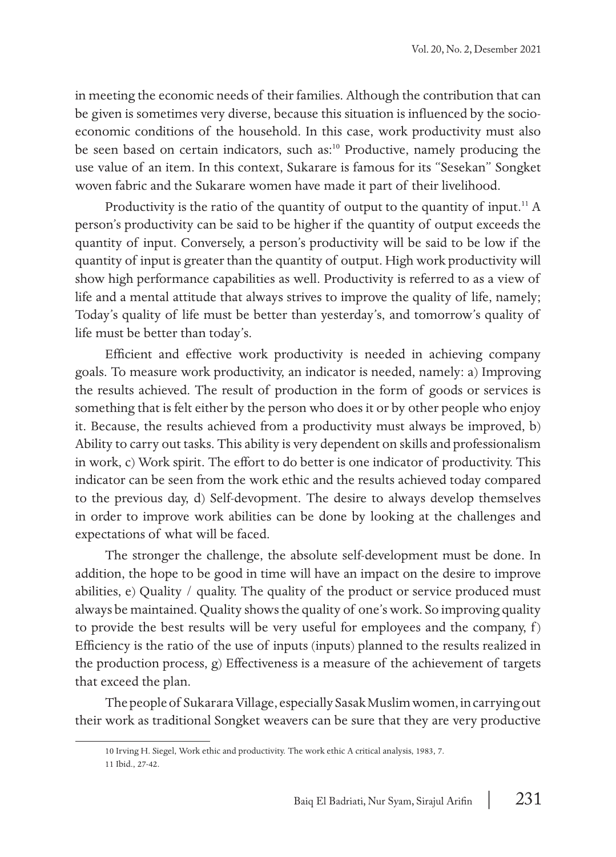in meeting the economic needs of their families. Although the contribution that can be given is sometimes very diverse, because this situation is influenced by the socioeconomic conditions of the household. In this case, work productivity must also be seen based on certain indicators, such as:<sup>10</sup> Productive, namely producing the use value of an item. In this context, Sukarare is famous for its "Sesekan" Songket woven fabric and the Sukarare women have made it part of their livelihood.

Productivity is the ratio of the quantity of output to the quantity of input.<sup>11</sup> A person's productivity can be said to be higher if the quantity of output exceeds the quantity of input. Conversely, a person's productivity will be said to be low if the quantity of input is greater than the quantity of output. High work productivity will show high performance capabilities as well. Productivity is referred to as a view of life and a mental attitude that always strives to improve the quality of life, namely; Today's quality of life must be better than yesterday's, and tomorrow's quality of life must be better than today's.

Efficient and effective work productivity is needed in achieving company goals. To measure work productivity, an indicator is needed, namely: a) Improving the results achieved. The result of production in the form of goods or services is something that is felt either by the person who does it or by other people who enjoy it. Because, the results achieved from a productivity must always be improved, b) Ability to carry out tasks. This ability is very dependent on skills and professionalism in work, c) Work spirit. The effort to do better is one indicator of productivity. This indicator can be seen from the work ethic and the results achieved today compared to the previous day, d) Self-devopment. The desire to always develop themselves in order to improve work abilities can be done by looking at the challenges and expectations of what will be faced.

The stronger the challenge, the absolute self-development must be done. In addition, the hope to be good in time will have an impact on the desire to improve abilities, e) Quality / quality. The quality of the product or service produced must always be maintained. Quality shows the quality of one's work. So improving quality to provide the best results will be very useful for employees and the company,  $f$ ) Efficiency is the ratio of the use of inputs (inputs) planned to the results realized in the production process, g) Effectiveness is a measure of the achievement of targets that exceed the plan.

The people of Sukarara Village, especially Sasak Muslim women, in carrying out their work as traditional Songket weavers can be sure that they are very productive

<sup>10</sup> Irving H. Siegel, Work ethic and productivity. The work ethic A critical analysis, 1983, 7. 11 Ibid., 27-42.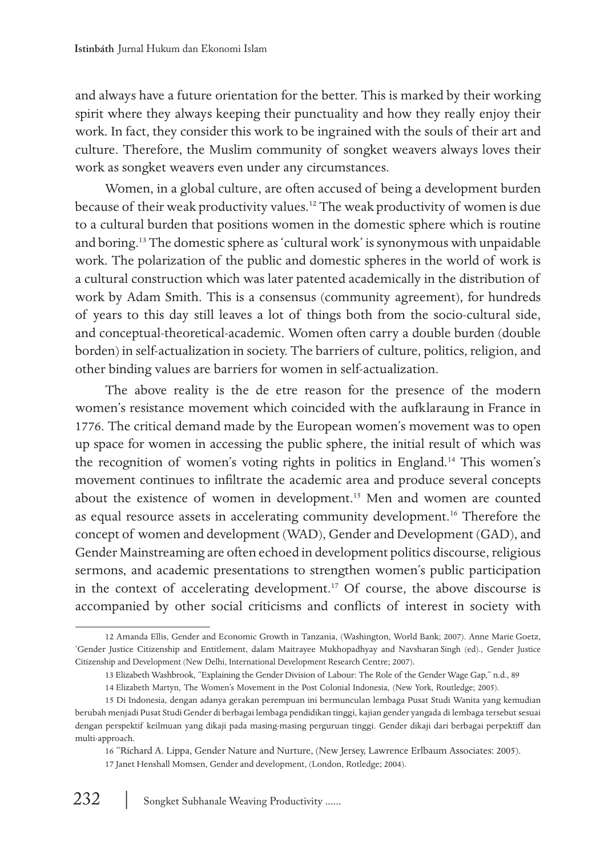and always have a future orientation for the better. This is marked by their working spirit where they always keeping their punctuality and how they really enjoy their work. In fact, they consider this work to be ingrained with the souls of their art and culture. Therefore, the Muslim community of songket weavers always loves their work as songket weavers even under any circumstances.

Women, in a global culture, are often accused of being a development burden because of their weak productivity values.12 The weak productivity of women is due to a cultural burden that positions women in the domestic sphere which is routine and boring.13 The domestic sphere as 'cultural work' is synonymous with unpaidable work. The polarization of the public and domestic spheres in the world of work is a cultural construction which was later patented academically in the distribution of work by Adam Smith. This is a consensus (community agreement), for hundreds of years to this day still leaves a lot of things both from the socio-cultural side, and conceptual-theoretical-academic. Women often carry a double burden (double borden) in self-actualization in society. The barriers of culture, politics, religion, and other binding values are barriers for women in self-actualization.

The above reality is the de etre reason for the presence of the modern women's resistance movement which coincided with the aufklaraung in France in 1776. The critical demand made by the European women's movement was to open up space for women in accessing the public sphere, the initial result of which was the recognition of women's voting rights in politics in England.14 This women's movement continues to infiltrate the academic area and produce several concepts about the existence of women in development.<sup>15</sup> Men and women are counted as equal resource assets in accelerating community development.<sup>16</sup> Therefore the concept of women and development (WAD), Gender and Development (GAD), and Gender Mainstreaming are often echoed in development politics discourse, religious sermons, and academic presentations to strengthen women's public participation in the context of accelerating development.<sup>17</sup> Of course, the above discourse is accompanied by other social criticisms and conflicts of interest in society with

<sup>12</sup> Amanda Ellis, Gender and Economic Growth in Tanzania, (Washington, World Bank; 2007). Anne Marie Goetz, 'Gender Justice Citizenship and Entitlement, dalam Maitrayee Mukhopadhyay and Navsharan Singh (ed)., Gender Justice Citizenship and Development (New Delhi, International Development Research Centre; 2007).

<sup>13</sup> Elizabeth Washbrook, "Explaining the Gender Division of Labour: The Role of the Gender Wage Gap," n.d., 89

<sup>14</sup> Elizabeth Martyn, The Women's Movement in the Post Colonial Indonesia, (New York, Routledge; 2005).

<sup>15</sup> Di Indonesia, dengan adanya gerakan perempuan ini bermunculan lembaga Pusat Studi Wanita yang kemudian berubah menjadi Pusat Studi Gender di berbagai lembaga pendidikan tinggi, kajian gender yangada di lembaga tersebut sesuai dengan perspektif keilmuan yang dikaji pada masing-masing perguruan tinggi. Gender dikaji dari berbagai perpektiff dan multi-approach.

<sup>16 &</sup>quot;Richard A. Lippa, Gender Nature and Nurture, (New Jersey, Lawrence Erlbaum Associates: 2005). 17 Janet Henshall Momsen, Gender and development, (London, Rotledge; 2004).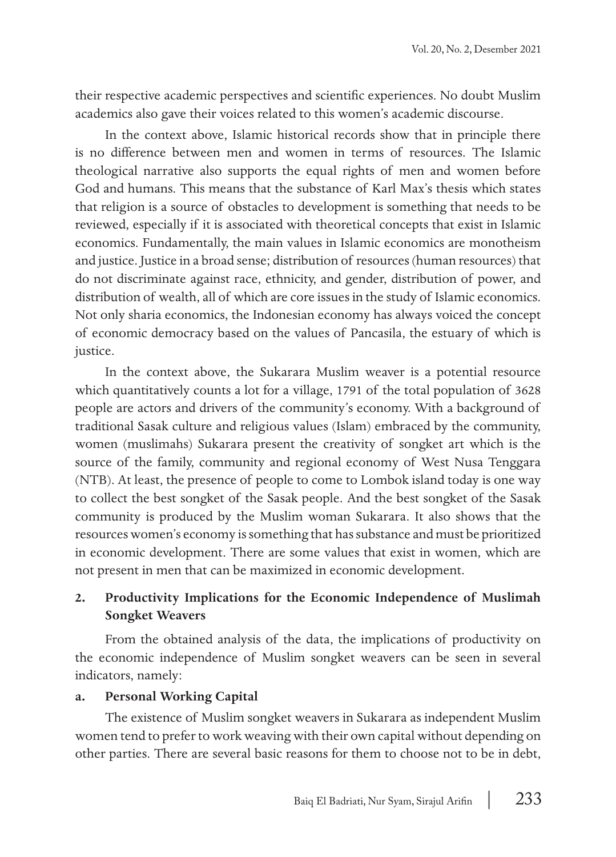their respective academic perspectives and scientific experiences. No doubt Muslim academics also gave their voices related to this women's academic discourse.

In the context above, Islamic historical records show that in principle there is no difference between men and women in terms of resources. The Islamic theological narrative also supports the equal rights of men and women before God and humans. This means that the substance of Karl Max's thesis which states that religion is a source of obstacles to development is something that needs to be reviewed, especially if it is associated with theoretical concepts that exist in Islamic economics. Fundamentally, the main values in Islamic economics are monotheism and justice. Justice in a broad sense; distribution of resources (human resources) that do not discriminate against race, ethnicity, and gender, distribution of power, and distribution of wealth, all of which are core issues in the study of Islamic economics. Not only sharia economics, the Indonesian economy has always voiced the concept of economic democracy based on the values of Pancasila, the estuary of which is justice.

In the context above, the Sukarara Muslim weaver is a potential resource which quantitatively counts a lot for a village, 1791 of the total population of 3628 people are actors and drivers of the community's economy. With a background of traditional Sasak culture and religious values (Islam) embraced by the community, women (muslimahs) Sukarara present the creativity of songket art which is the source of the family, community and regional economy of West Nusa Tenggara (NTB). At least, the presence of people to come to Lombok island today is one way to collect the best songket of the Sasak people. And the best songket of the Sasak community is produced by the Muslim woman Sukarara. It also shows that the resources women's economy is something that has substance and must be prioritized in economic development. There are some values that exist in women, which are not present in men that can be maximized in economic development.

## **2. Productivity Implications for the Economic Independence of Muslimah Songket Weavers**

From the obtained analysis of the data, the implications of productivity on the economic independence of Muslim songket weavers can be seen in several indicators, namely:

#### **a. Personal Working Capital**

The existence of Muslim songket weavers in Sukarara as independent Muslim women tend to prefer to work weaving with their own capital without depending on other parties. There are several basic reasons for them to choose not to be in debt,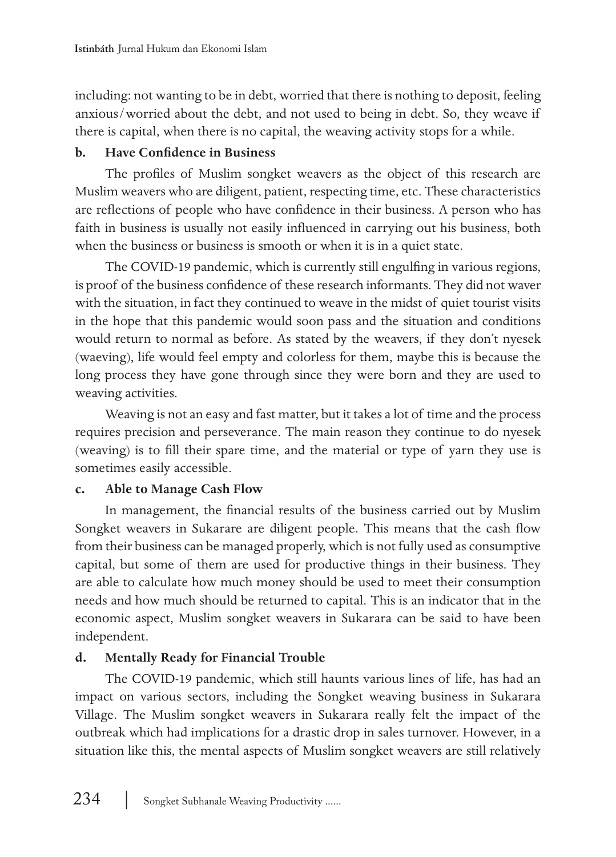including: not wanting to be in debt, worried that there is nothing to deposit, feeling anxious/worried about the debt, and not used to being in debt. So, they weave if there is capital, when there is no capital, the weaving activity stops for a while.

## **b. Have Confidence in Business**

The profiles of Muslim songket weavers as the object of this research are Muslim weavers who are diligent, patient, respecting time, etc. These characteristics are reflections of people who have confidence in their business. A person who has faith in business is usually not easily influenced in carrying out his business, both when the business or business is smooth or when it is in a quiet state.

The COVID-19 pandemic, which is currently still engulfing in various regions, is proof of the business confidence of these research informants. They did not waver with the situation, in fact they continued to weave in the midst of quiet tourist visits in the hope that this pandemic would soon pass and the situation and conditions would return to normal as before. As stated by the weavers, if they don't nyesek (waeving), life would feel empty and colorless for them, maybe this is because the long process they have gone through since they were born and they are used to weaving activities.

Weaving is not an easy and fast matter, but it takes a lot of time and the process requires precision and perseverance. The main reason they continue to do nyesek (weaving) is to fill their spare time, and the material or type of yarn they use is sometimes easily accessible.

# **c. Able to Manage Cash Flow**

In management, the financial results of the business carried out by Muslim Songket weavers in Sukarare are diligent people. This means that the cash flow from their business can be managed properly, which is not fully used as consumptive capital, but some of them are used for productive things in their business. They are able to calculate how much money should be used to meet their consumption needs and how much should be returned to capital. This is an indicator that in the economic aspect, Muslim songket weavers in Sukarara can be said to have been independent.

# **d. Mentally Ready for Financial Trouble**

The COVID-19 pandemic, which still haunts various lines of life, has had an impact on various sectors, including the Songket weaving business in Sukarara Village. The Muslim songket weavers in Sukarara really felt the impact of the outbreak which had implications for a drastic drop in sales turnover. However, in a situation like this, the mental aspects of Muslim songket weavers are still relatively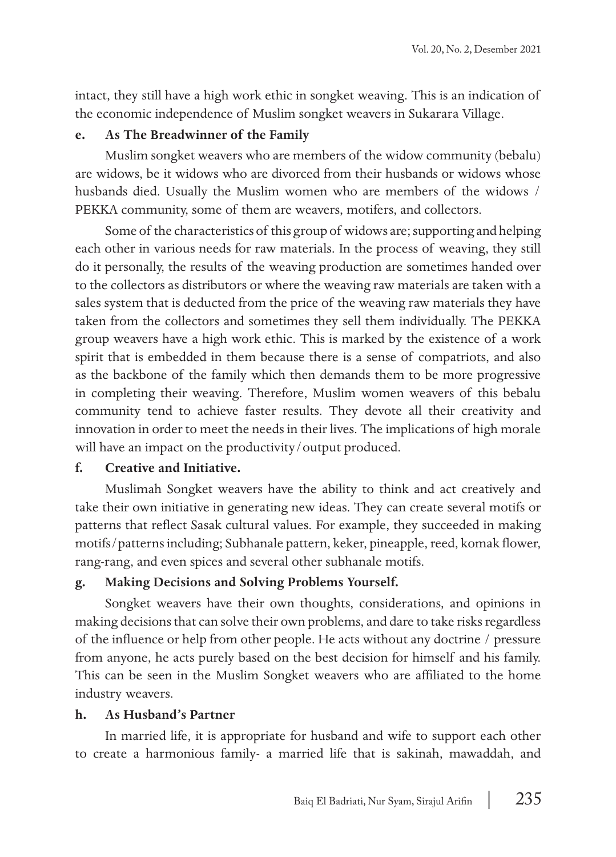intact, they still have a high work ethic in songket weaving. This is an indication of the economic independence of Muslim songket weavers in Sukarara Village.

#### **e. As The Breadwinner of the Family**

Muslim songket weavers who are members of the widow community (bebalu) are widows, be it widows who are divorced from their husbands or widows whose husbands died. Usually the Muslim women who are members of the widows / PEKKA community, some of them are weavers, motifers, and collectors.

Some of the characteristics of this group of widows are; supporting and helping each other in various needs for raw materials. In the process of weaving, they still do it personally, the results of the weaving production are sometimes handed over to the collectors as distributors or where the weaving raw materials are taken with a sales system that is deducted from the price of the weaving raw materials they have taken from the collectors and sometimes they sell them individually. The PEKKA group weavers have a high work ethic. This is marked by the existence of a work spirit that is embedded in them because there is a sense of compatriots, and also as the backbone of the family which then demands them to be more progressive in completing their weaving. Therefore, Muslim women weavers of this bebalu community tend to achieve faster results. They devote all their creativity and innovation in order to meet the needs in their lives. The implications of high morale will have an impact on the productivity/output produced.

#### **f. Creative and Initiative.**

Muslimah Songket weavers have the ability to think and act creatively and take their own initiative in generating new ideas. They can create several motifs or patterns that reflect Sasak cultural values. For example, they succeeded in making motifs/patterns including; Subhanale pattern, keker, pineapple, reed, komak flower, rang-rang, and even spices and several other subhanale motifs.

#### **g. Making Decisions and Solving Problems Yourself.**

Songket weavers have their own thoughts, considerations, and opinions in making decisions that can solve their own problems, and dare to take risks regardless of the influence or help from other people. He acts without any doctrine / pressure from anyone, he acts purely based on the best decision for himself and his family. This can be seen in the Muslim Songket weavers who are affiliated to the home industry weavers.

#### **h. As Husband's Partner**

In married life, it is appropriate for husband and wife to support each other to create a harmonious family- a married life that is sakinah, mawaddah, and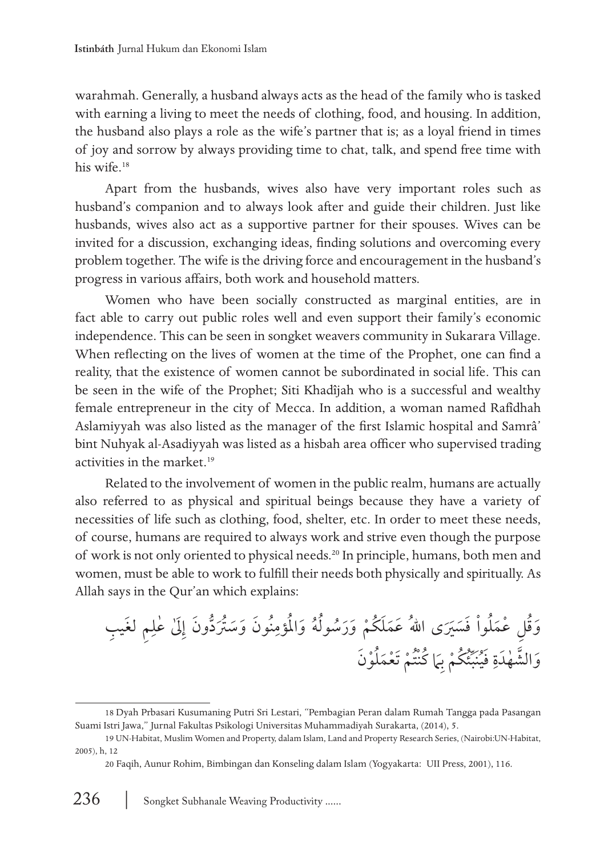warahmah. Generally, a husband always acts as the head of the family who is tasked with earning a living to meet the needs of clothing, food, and housing. In addition, the husband also plays a role as the wife's partner that is; as a loyal friend in times of joy and sorrow by always providing time to chat, talk, and spend free time with his wife.<sup>18</sup>

Apart from the husbands, wives also have very important roles such as husband's companion and to always look after and guide their children. Just like husbands, wives also act as a supportive partner for their spouses. Wives can be invited for a discussion, exchanging ideas, finding solutions and overcoming every problem together. The wife is the driving force and encouragement in the husband's progress in various affairs, both work and household matters.

Women who have been socially constructed as marginal entities, are in fact able to carry out public roles well and even support their family's economic independence. This can be seen in songket weavers community in Sukarara Village. When reflecting on the lives of women at the time of the Prophet, one can find a reality, that the existence of women cannot be subordinated in social life. This can be seen in the wife of the Prophet; Siti Khadîjah who is a successful and wealthy female entrepreneur in the city of Mecca. In addition, a woman named Rafîdhah Aslamiyyah was also listed as the manager of the first Islamic hospital and Samrâ' bint Nuhyak al-Asadiyyah was listed as a hisbah area officer who supervised trading activities in the market.<sup>19</sup>

Related to the involvement of women in the public realm, humans are actually also referred to as physical and spiritual beings because they have a variety of necessities of life such as clothing, food, shelter, etc. In order to meet these needs, of course, humans are required to always work and strive even though the purpose of work is not only oriented to physical needs.20 In principle, humans, both men and women, must be able to work to fulfill their needs both physically and spiritually. As Allah says in the Qur'an which explains:

ِ ِم َ لغ ِ يب عل ٰ ٰ ِىَل د َون إ َُّ ت ُ َون َ وَسرُ ن ِ ملؤم ُ ه َ وا ولُ ُس ُ ل ْوا َ فَسرََي َ ى اهللُ عَمَل ُك ْم َ وَر ق ِل ْ عَمُ ُ َو لْو َن ت ْم َ ت ْعَمُ كنُْ ُ اَم ِ ُك ْم ب ئ ُِّ نَب ُ ِ َ في هَدة الش ٰ َّ َو

<sup>18</sup> Dyah Prbasari Kusumaning Putri Sri Lestari, "Pembagian Peran dalam Rumah Tangga pada Pasangan Suami Istri Jawa," Jurnal Fakultas Psikologi Universitas Muhammadiyah Surakarta, (2014), 5.

<sup>19</sup> UN-Habitat, Muslim Women and Property, dalam Islam, Land and Property Research Series, (Nairobi: UN-Habitat, 2005), h, 12

<sup>20</sup> Faqih, Aunur Rohim, Bimbingan dan Konseling dalam Islam (Yogyakarta: UII Press, 2001), 116.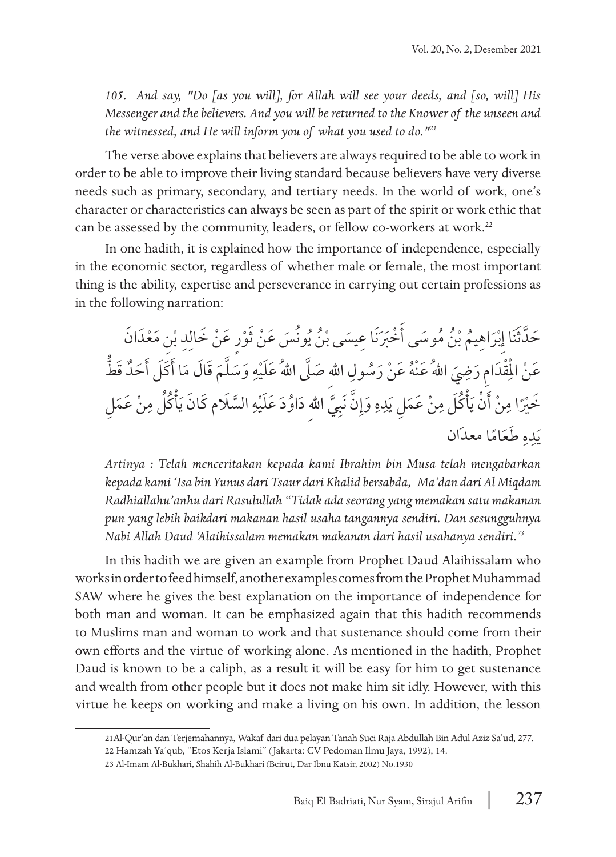*105. And say, "Do [as you will], for Allah will see your deeds, and [so, will] His Messenger and the believers. And you will be returned to the Knower of the unseen and the witnessed, and He will inform you of what you used to do."<sup>21</sup>*

The verse above explains that believers are always required to be able to work in order to be able to improve their living standard because believers have very diverse needs such as primary, secondary, and tertiary needs. In the world of work, one's character or characteristics can always be seen as part of the spirit or work ethic that can be assessed by the community, leaders, or fellow co-workers at work.<sup>22</sup>

In one hadith, it is explained how the importance of independence, especially in the economic sector, regardless of whether male or female, the most important thing is the ability, expertise and perseverance in carrying out certain professions as in the following narration:

حَدَّثَنَا إِبْرَاهِيمُ بْنُ مُوسَى أَخْبَرَنَا عِيسَى بْنُ يُونْسَ عَنْ ثَوْرٍ عَنْ خَالِدِ بْنِ مَعْدَانَ ِ ا ؘ<br>ۣ │<br>│ َّ عَنْ الْمِقْدَامِ رَضِيَ اللهُ عَنْهُ عَنْ رَسُولِ اللهِ صَلَّى اللهُ عَلَيْهِ وَسَلَّمَ قَالَ مَا أَكَلَ أَحَدٌ قَطُّ ؚ<u>ؙ</u> ٌ ຺ ֺ֧֦֧֦֧֦֧֦֝ ِ خَيْرًا مِنْ أَنْ يَأْكُلَ مِنْ عَمَلِ يَدِهِ وَإِنَّ نَبِيَّ اللهِ دَاوُدَ عَلَيْهِ السَّلَام كَانَ يَأْكُلُ مِنْ عَمَلِ ِ ै।<br>। َِّ ِ ِ **U** ِ ِ يَدِهِ ط<mark>َعَ</mark>امًا معدَان **U** 

*Artinya : Telah menceritakan kepada kami Ibrahim bin Musa telah mengabarkan kepada kami 'Isa bin Yunus dari Tsaur dari Khalid bersabda, Ma'dan dari Al Miqdam Radhiallahu'anhu dari Rasulullah "Tidak ada seorang yang memakan satu makanan pun yang lebih baik dari makanan hasil usaha tangannya sendiri. Dan sesungguhnya Nabi Allah Daud 'Alaihissalam memakan makanan dari hasil usahanya sendiri.<sup>23</sup>*

In this hadith we are given an example from Prophet Daud Alaihissalam who works in order to feed himself, another examples comes from the Prophet Muhammad SAW where he gives the best explanation on the importance of independence for both man and woman. It can be emphasized again that this hadith recommends to Muslims man and woman to work and that sustenance should come from their own efforts and the virtue of working alone. As mentioned in the hadith, Prophet Daud is known to be a caliph, as a result it will be easy for him to get sustenance and wealth from other people but it does not make him sit idly. However, with this virtue he keeps on working and make a living on his own. In addition, the lesson

<sup>21</sup>Al-Qur'an dan Terjemahannya, Wakaf dari dua pelayan Tanah Suci Raja Abdullah Bin Adul Aziz Sa'ud, 277.

<sup>22</sup> Hamzah Ya'qub, "Etos Kerja Islami" ( Jakarta: CV Pedoman Ilmu Jaya, 1992), 14.

<sup>23</sup> Al-Imam Al-Bukhari, Shahih Al-Bukhari (Beirut, Dar Ibnu Katsir, 2002) No.1930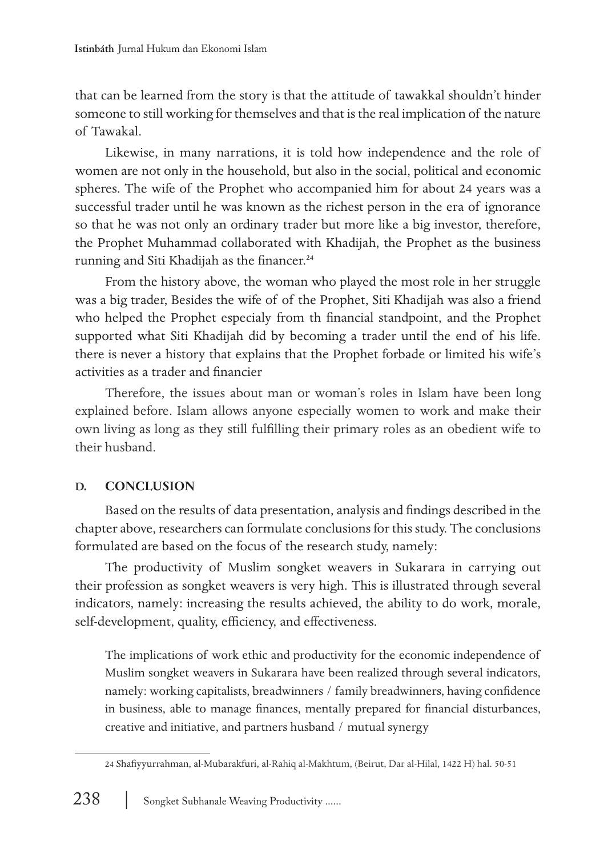that can be learned from the story is that the attitude of tawakkal shouldn't hinder someone to still working for themselves and that is the real implication of the nature of Tawakal.

Likewise, in many narrations, it is told how independence and the role of women are not only in the household, but also in the social, political and economic spheres. The wife of the Prophet who accompanied him for about 24 years was a successful trader until he was known as the richest person in the era of ignorance so that he was not only an ordinary trader but more like a big investor, therefore, the Prophet Muhammad collaborated with Khadijah, the Prophet as the business running and Siti Khadijah as the financer.<sup>24</sup>

From the history above, the woman who played the most role in her struggle was a big trader, Besides the wife of of the Prophet, Siti Khadijah was also a friend who helped the Prophet especialy from th financial standpoint, and the Prophet supported what Siti Khadijah did by becoming a trader until the end of his life. there is never a history that explains that the Prophet forbade or limited his wife's activities as a trader and financier

Therefore, the issues about man or woman's roles in Islam have been long explained before. Islam allows anyone especially women to work and make their own living as long as they still fulfilling their primary roles as an obedient wife to their husband.

# **D. CONCLUSION**

Based on the results of data presentation, analysis and findings described in the chapter above, researchers can formulate conclusions for this study. The conclusions formulated are based on the focus of the research study, namely:

The productivity of Muslim songket weavers in Sukarara in carrying out their profession as songket weavers is very high. This is illustrated through several indicators, namely: increasing the results achieved, the ability to do work, morale, self-development, quality, efficiency, and effectiveness.

The implications of work ethic and productivity for the economic independence of Muslim songket weavers in Sukarara have been realized through several indicators, namely: working capitalists, breadwinners / family breadwinners, having confidence in business, able to manage finances, mentally prepared for financial disturbances, creative and initiative, and partners husband / mutual synergy

<sup>24</sup> Shafiyyurrahman, al-Mubarakfuri, al-Rahiq al-Makhtum, (Beirut, Dar al-Hilal, 1422 H) hal. 50-51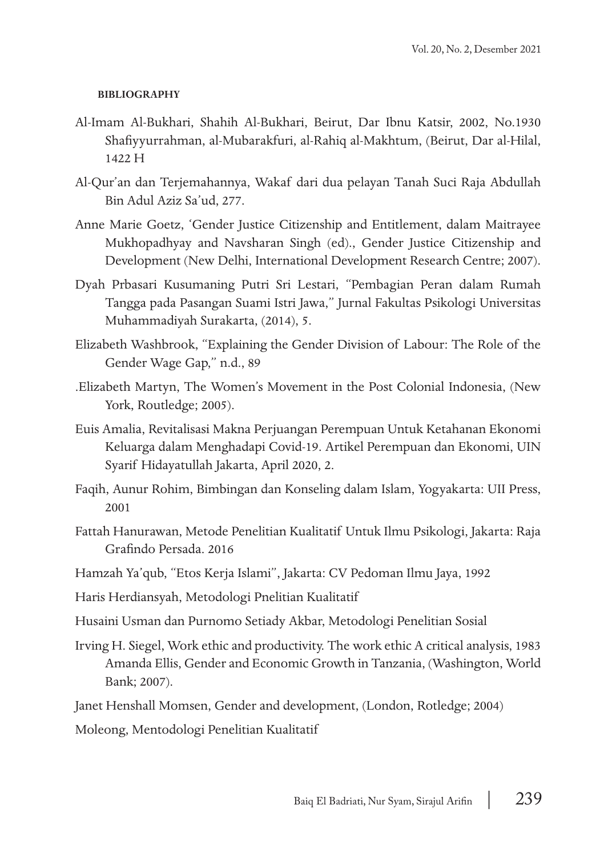#### **BIBLIOGRAPHY**

- Al-Imam Al-Bukhari, Shahih Al-Bukhari, Beirut, Dar Ibnu Katsir, 2002, No.1930 Shafiyyurrahman, al-Mubarakfuri, al-Rahiq al-Makhtum, (Beirut, Dar al-Hilal, 1422 H
- Al-Qur'an dan Terjemahannya, Wakaf dari dua pelayan Tanah Suci Raja Abdullah Bin Adul Aziz Sa'ud, 277.
- Anne Marie Goetz, 'Gender Justice Citizenship and Entitlement, dalam Maitrayee Mukhopadhyay and Navsharan Singh (ed)., Gender Justice Citizenship and Development (New Delhi, International Development Research Centre; 2007).
- Dyah Prbasari Kusumaning Putri Sri Lestari, "Pembagian Peran dalam Rumah Tangga pada Pasangan Suami Istri Jawa," Jurnal Fakultas Psikologi Universitas Muhammadiyah Surakarta, (2014), 5.
- Elizabeth Washbrook, "Explaining the Gender Division of Labour: The Role of the Gender Wage Gap," n.d., 89
- .Elizabeth Martyn, The Women's Movement in the Post Colonial Indonesia, (New York, Routledge; 2005).
- Euis Amalia, Revitalisasi Makna Perjuangan Perempuan Untuk Ketahanan Ekonomi Keluarga dalam Menghadapi Covid-19. Artikel Perempuan dan Ekonomi, UIN Syarif Hidayatullah Jakarta, April 2020, 2.
- Faqih, Aunur Rohim, Bimbingan dan Konseling dalam Islam, Yogyakarta: UII Press, 2001
- Fattah Hanurawan, Metode Penelitian Kualitatif Untuk Ilmu Psikologi, Jakarta: Raja Grafindo Persada. 2016
- Hamzah Ya'qub, "Etos Kerja Islami", Jakarta: CV Pedoman Ilmu Jaya, 1992
- Haris Herdiansyah, Metodologi Pnelitian Kualitatif
- Husaini Usman dan Purnomo Setiady Akbar, Metodologi Penelitian Sosial
- Irving H. Siegel, Work ethic and productivity. The work ethic A critical analysis, 1983 Amanda Ellis, Gender and Economic Growth in Tanzania, (Washington, World Bank; 2007).
- Janet Henshall Momsen, Gender and development, (London, Rotledge; 2004)

Moleong, Mentodologi Penelitian Kualitatif